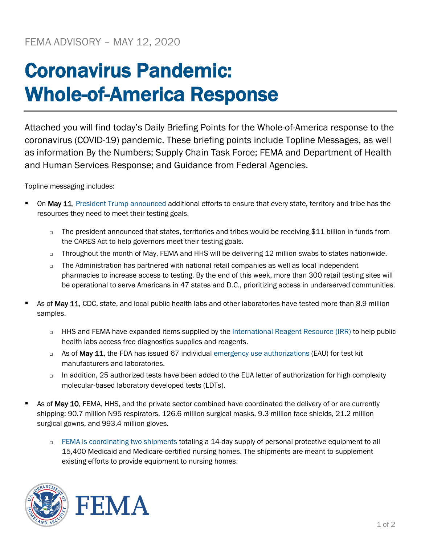## Coronavirus Pandemic: Whole-of-America Response

Attached you will find today's Daily Briefing Points for the Whole-of-America response to the coronavirus (COVID-19) pandemic. These briefing points include Topline Messages, as well as information By the Numbers; Supply Chain Task Force; FEMA and Department of Health and Human Services Response; and Guidance from Federal Agencies.

Topline messaging includes:

- On May 11, [President Trump announced](https://www.whitehouse.gov/briefings-statements/united-states-built-worlds-leading-coronavirus-testing-system/) additional efforts to ensure that every state, territory and tribe has the resources they need to meet their testing goals.
	- □ The president announced that states, territories and tribes would be receiving \$11 billion in funds from the CARES Act to help governors meet their testing goals.
	- $\Box$  Throughout the month of May, FEMA and HHS will be delivering 12 million swabs to states nationwide.
	- $\Box$  The Administration has partnered with national retail companies as well as local independent pharmacies to increase access to testing. By the end of this week, more than 300 retail testing sites will be operational to serve Americans in 47 states and D.C., prioritizing access in underserved communities.
- As of May 11, CDC, state, and local public health labs and other laboratories have tested more than 8.9 million samples.
	- □ HHS and FEMA have expanded items supplied by the [International Reagent Resource \(IRR\)](http://www.internationalreagentresource.org/) to help public health labs access free diagnostics supplies and reagents.
	- $\Box$  As of May 11, the FDA has issued 67 individual [emergency use authorizations](https://www.fda.gov/medical-devices/emergency-situations-medical-devices/emergency-use-authorizations) (EAU) for test kit manufacturers and laboratories.
	- $\Box$  In addition, 25 authorized tests have been added to the EUA letter of authorization for high complexity molecular-based laboratory developed tests (LDTs).
- As of May 10, FEMA, HHS, and the private sector combined have coordinated the delivery of or are currently shipping: 90.7 million N95 respirators, 126.6 million surgical masks, 9.3 million face shields, 21.2 million surgical gowns, and 993.4 million gloves.
	- [FEMA is coordinating two shipments](https://www.fema.gov/news-release/2020/04/30/personal-protective-equipment-medicare-and-medicaid-nursing-homes) totaling a 14-day supply of personal protective equipment to all 15,400 Medicaid and Medicare-certified nursing homes. The shipments are meant to supplement existing efforts to provide equipment to nursing homes.